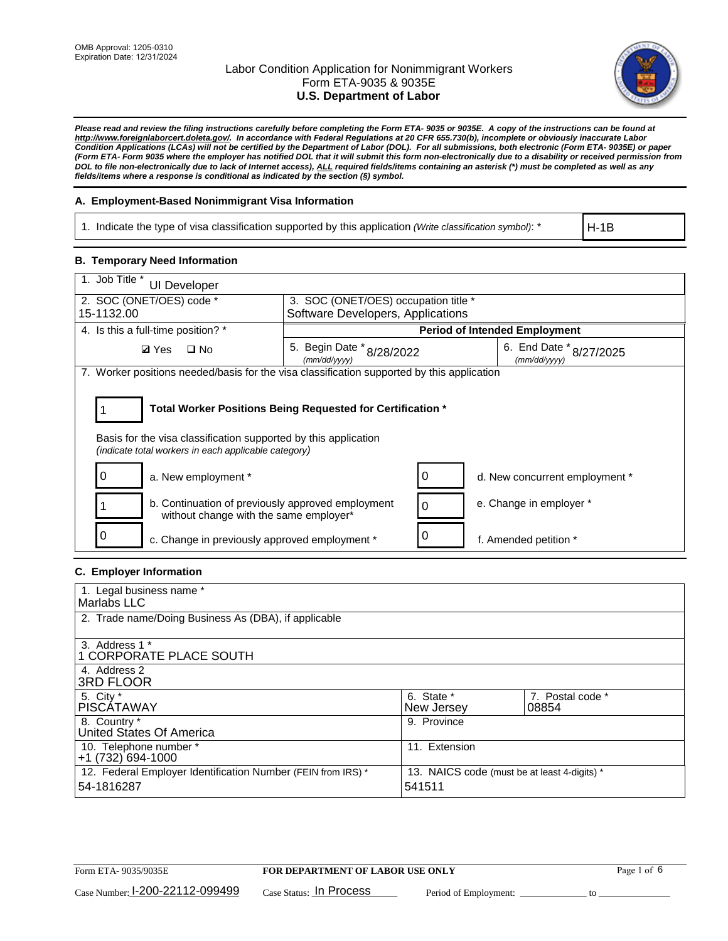

*Please read and review the filing instructions carefully before completing the Form ETA- 9035 or 9035E. A copy of the instructions can be found at http://www.foreignlaborcert.doleta.gov/. In accordance with Federal Regulations at 20 CFR 655.730(b), incomplete or obviously inaccurate Labor Condition Applications (LCAs) will not be certified by the Department of Labor (DOL). For all submissions, both electronic (Form ETA- 9035E) or paper (Form ETA- Form 9035 where the employer has notified DOL that it will submit this form non-electronically due to a disability or received permission from DOL to file non-electronically due to lack of Internet access), ALL required fields/items containing an asterisk (\*) must be completed as well as any fields/items where a response is conditional as indicated by the section (§) symbol.* 

### **A. Employment-Based Nonimmigrant Visa Information**

1. Indicate the type of visa classification supported by this application *(Write classification symbol)*: \*

H-1B

### **B. Temporary Need Information**

| 1. Job Title *<br>UI Developer                                                                                          |                                                            |                                         |  |  |  |
|-------------------------------------------------------------------------------------------------------------------------|------------------------------------------------------------|-----------------------------------------|--|--|--|
| 2. SOC (ONET/OES) code *                                                                                                | 3. SOC (ONET/OES) occupation title *                       |                                         |  |  |  |
| 15-1132.00                                                                                                              | Software Developers, Applications                          |                                         |  |  |  |
| 4. Is this a full-time position? *                                                                                      | <b>Period of Intended Employment</b>                       |                                         |  |  |  |
| <b>Ø</b> Yes<br>$\Box$ No                                                                                               | 5. Begin Date $*_{8/28/2022}$<br>(mm/dd/yyyy)              | 6. End Date * 8/27/2025<br>(mm/dd/vvvv) |  |  |  |
| 7. Worker positions needed/basis for the visa classification supported by this application                              |                                                            |                                         |  |  |  |
| Basis for the visa classification supported by this application<br>(indicate total workers in each applicable category) | Total Worker Positions Being Requested for Certification * |                                         |  |  |  |
| a. New employment *                                                                                                     |                                                            | d. New concurrent employment *          |  |  |  |
| b. Continuation of previously approved employment<br>without change with the same employer*                             |                                                            | e. Change in employer *                 |  |  |  |
| c. Change in previously approved employment *                                                                           |                                                            | f. Amended petition *                   |  |  |  |

### **C. Employer Information**

| 1. Legal business name *                                     |                                              |                  |  |
|--------------------------------------------------------------|----------------------------------------------|------------------|--|
| Marlabs LLC                                                  |                                              |                  |  |
| 2. Trade name/Doing Business As (DBA), if applicable         |                                              |                  |  |
|                                                              |                                              |                  |  |
| 3. Address 1 *                                               |                                              |                  |  |
| 1 CORPORATE PLACE SOUTH                                      |                                              |                  |  |
| 4. Address 2                                                 |                                              |                  |  |
| <b>3RD FLOOR</b>                                             |                                              |                  |  |
| 5. City *                                                    | 6. State *                                   | 7. Postal code * |  |
| PISCÁTAWAY                                                   | New Jersey                                   | 08854            |  |
| 8. Country *                                                 | 9. Province                                  |                  |  |
| United States Of America                                     |                                              |                  |  |
| 10. Telephone number *                                       | 11. Extension                                |                  |  |
| $+1(732)694-1000$                                            |                                              |                  |  |
| 12. Federal Employer Identification Number (FEIN from IRS) * | 13. NAICS code (must be at least 4-digits) * |                  |  |
| 54-1816287                                                   | 541511                                       |                  |  |
|                                                              |                                              |                  |  |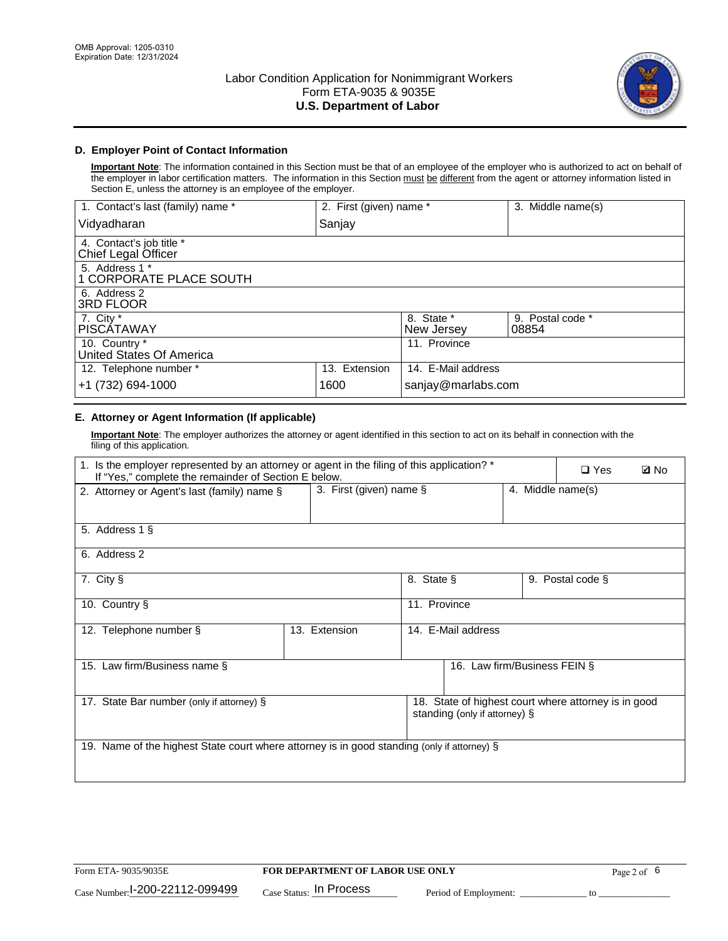

### **D. Employer Point of Contact Information**

**Important Note**: The information contained in this Section must be that of an employee of the employer who is authorized to act on behalf of the employer in labor certification matters. The information in this Section must be different from the agent or attorney information listed in Section E, unless the attorney is an employee of the employer.

| 1. Contact's last (family) name *               | 2. First (given) name * |                          | 3. Middle name(s)         |
|-------------------------------------------------|-------------------------|--------------------------|---------------------------|
| Vidyadharan                                     | Sanjay                  |                          |                           |
| 4. Contact's job title *<br>Chief Legal Officer |                         |                          |                           |
| 5. Address 1 *<br>1 CORPORATE PLACE SOUTH       |                         |                          |                           |
| 6. Address 2<br>3RD FLOOR                       |                         |                          |                           |
| 7. City $*$<br><b>PISCÁTAWAY</b>                |                         | 8. State *<br>New Jersey | 9. Postal code *<br>08854 |
| 10. Country *<br>United States Of America       |                         | 11. Province             |                           |
| 12. Telephone number *                          | 13. Extension           | 14. E-Mail address       |                           |
| +1 (732) 694-1000                               | 1600                    | sanjay@marlabs.com       |                           |

## **E. Attorney or Agent Information (If applicable)**

**Important Note**: The employer authorizes the attorney or agent identified in this section to act on its behalf in connection with the filing of this application.

| 1. Is the employer represented by an attorney or agent in the filing of this application? *<br>If "Yes," complete the remainder of Section E below. |               |                    |                               |  | $\Box$ Yes                                           | <b>Ø</b> No |
|-----------------------------------------------------------------------------------------------------------------------------------------------------|---------------|--------------------|-------------------------------|--|------------------------------------------------------|-------------|
| 3. First (given) name $\S$<br>4. Middle name(s)<br>2. Attorney or Agent's last (family) name §                                                      |               |                    |                               |  |                                                      |             |
| 5. Address 1 §                                                                                                                                      |               |                    |                               |  |                                                      |             |
| 6. Address 2                                                                                                                                        |               |                    |                               |  |                                                      |             |
| 7. City §                                                                                                                                           |               | 8. State §         |                               |  | 9. Postal code §                                     |             |
| 11. Province<br>10. Country §                                                                                                                       |               |                    |                               |  |                                                      |             |
| 12. Telephone number §                                                                                                                              | 13. Extension | 14. E-Mail address |                               |  |                                                      |             |
| 15. Law firm/Business name §                                                                                                                        |               |                    | 16. Law firm/Business FEIN §  |  |                                                      |             |
| 17. State Bar number (only if attorney) §                                                                                                           |               |                    | standing (only if attorney) § |  | 18. State of highest court where attorney is in good |             |
| 19. Name of the highest State court where attorney is in good standing (only if attorney) §                                                         |               |                    |                               |  |                                                      |             |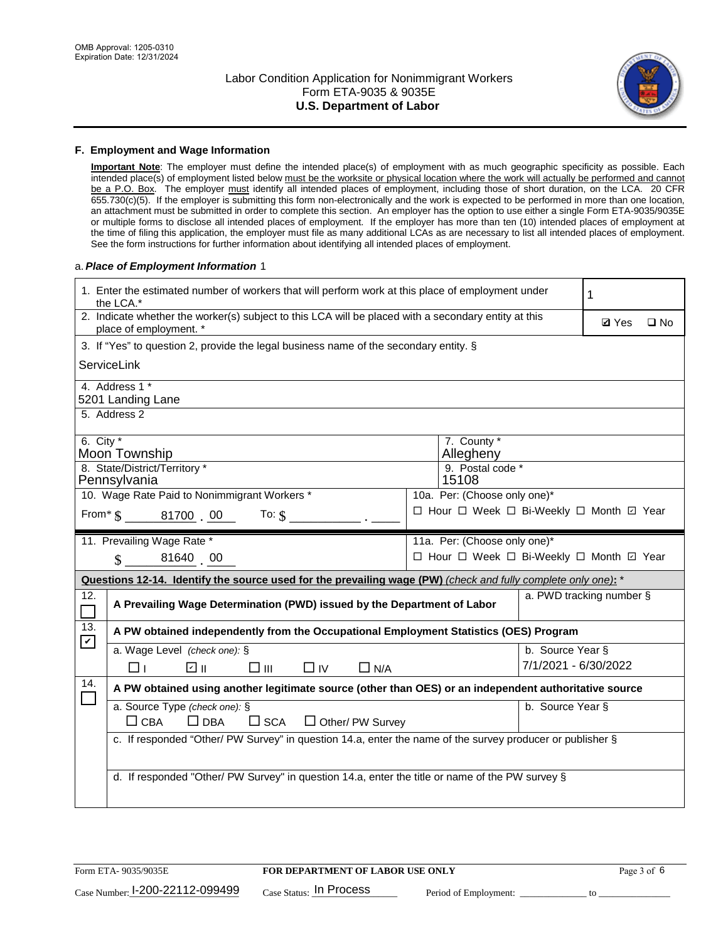

#### **F. Employment and Wage Information**

**Important Note**: The employer must define the intended place(s) of employment with as much geographic specificity as possible. Each intended place(s) of employment listed below must be the worksite or physical location where the work will actually be performed and cannot be a P.O. Box. The employer must identify all intended places of employment, including those of short duration, on the LCA. 20 CFR 655.730(c)(5). If the employer is submitting this form non-electronically and the work is expected to be performed in more than one location, an attachment must be submitted in order to complete this section. An employer has the option to use either a single Form ETA-9035/9035E or multiple forms to disclose all intended places of employment. If the employer has more than ten (10) intended places of employment at the time of filing this application, the employer must file as many additional LCAs as are necessary to list all intended places of employment. See the form instructions for further information about identifying all intended places of employment.

#### a.*Place of Employment Information* 1

|                                                                              | 1. Enter the estimated number of workers that will perform work at this place of employment under<br>the LCA.*                 |  | 1 |                      |  |              |  |  |
|------------------------------------------------------------------------------|--------------------------------------------------------------------------------------------------------------------------------|--|---|----------------------|--|--------------|--|--|
|                                                                              | 2. Indicate whether the worker(s) subject to this LCA will be placed with a secondary entity at this<br>place of employment. * |  |   |                      |  | $\square$ No |  |  |
|                                                                              | 3. If "Yes" to question 2, provide the legal business name of the secondary entity. §                                          |  |   |                      |  |              |  |  |
|                                                                              | ServiceLink                                                                                                                    |  |   |                      |  |              |  |  |
|                                                                              | 4. Address 1 *<br>5201 Landing Lane                                                                                            |  |   |                      |  |              |  |  |
|                                                                              | 5. Address 2                                                                                                                   |  |   |                      |  |              |  |  |
|                                                                              | 6. City $*$<br>7. County *<br>Moon Township<br>Allegheny<br>8. State/District/Territory *<br>9. Postal code *                  |  |   |                      |  |              |  |  |
|                                                                              | Pennsylvania<br>15108                                                                                                          |  |   |                      |  |              |  |  |
| 10. Wage Rate Paid to Nonimmigrant Workers *<br>10a. Per: (Choose only one)* |                                                                                                                                |  |   |                      |  |              |  |  |
|                                                                              | □ Hour □ Week □ Bi-Weekly □ Month ☑ Year<br>From* \$ 81700 00<br>To: $$$                                                       |  |   |                      |  |              |  |  |
|                                                                              | 11. Prevailing Wage Rate *<br>11a. Per: (Choose only one)*                                                                     |  |   |                      |  |              |  |  |
|                                                                              | $\sin 81640$ 00<br>□ Hour □ Week □ Bi-Weekly □ Month ☑ Year                                                                    |  |   |                      |  |              |  |  |
|                                                                              | Questions 12-14. Identify the source used for the prevailing wage (PW) (check and fully complete only one): *                  |  |   |                      |  |              |  |  |
| 12.                                                                          | a. PWD tracking number §<br>A Prevailing Wage Determination (PWD) issued by the Department of Labor                            |  |   |                      |  |              |  |  |
| 13.                                                                          | A PW obtained independently from the Occupational Employment Statistics (OES) Program                                          |  |   |                      |  |              |  |  |
| $\mathbf v$                                                                  | a. Wage Level (check one): §                                                                                                   |  |   | b. Source Year §     |  |              |  |  |
|                                                                              | ☑ ⊪<br>$\square$ $\square$<br>$\Box$ IV<br>$\Box$ N/A<br>□⊥                                                                    |  |   | 7/1/2021 - 6/30/2022 |  |              |  |  |
| 14.                                                                          | A PW obtained using another legitimate source (other than OES) or an independent authoritative source                          |  |   |                      |  |              |  |  |
|                                                                              | a. Source Type (check one): §<br>b. Source Year §<br>$\Box$ CBA<br>$\Box$ DBA<br>$\square$ SCA<br>$\Box$ Other/ PW Survey      |  |   |                      |  |              |  |  |
|                                                                              | c. If responded "Other/ PW Survey" in question 14.a, enter the name of the survey producer or publisher §                      |  |   |                      |  |              |  |  |
|                                                                              | d. If responded "Other/ PW Survey" in question 14.a, enter the title or name of the PW survey §                                |  |   |                      |  |              |  |  |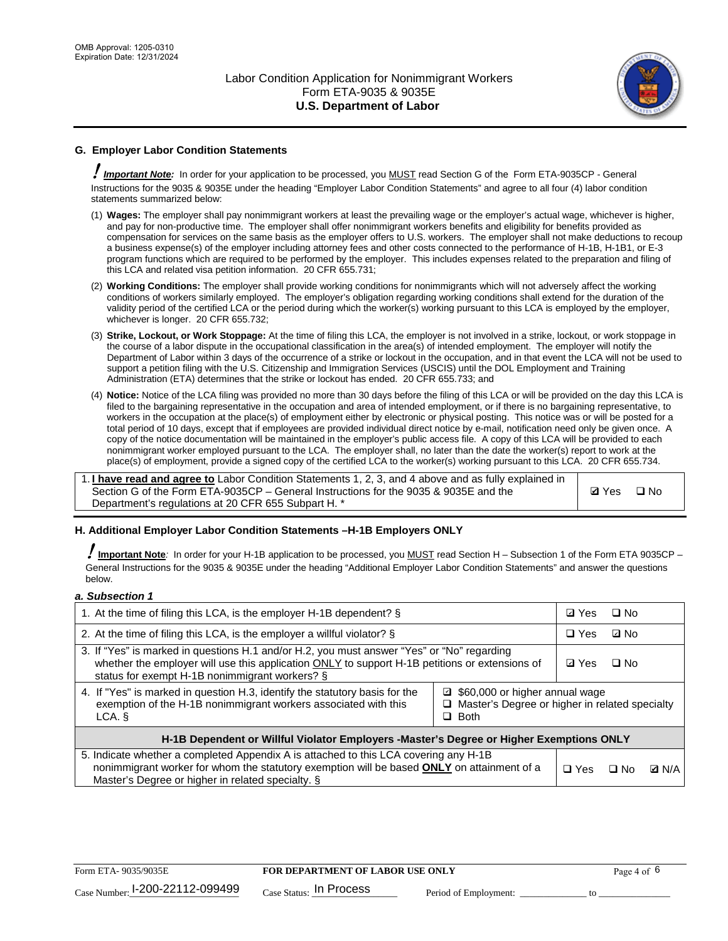

## **G. Employer Labor Condition Statements**

! *Important Note:* In order for your application to be processed, you MUST read Section G of the Form ETA-9035CP - General Instructions for the 9035 & 9035E under the heading "Employer Labor Condition Statements" and agree to all four (4) labor condition statements summarized below:

- (1) **Wages:** The employer shall pay nonimmigrant workers at least the prevailing wage or the employer's actual wage, whichever is higher, and pay for non-productive time. The employer shall offer nonimmigrant workers benefits and eligibility for benefits provided as compensation for services on the same basis as the employer offers to U.S. workers. The employer shall not make deductions to recoup a business expense(s) of the employer including attorney fees and other costs connected to the performance of H-1B, H-1B1, or E-3 program functions which are required to be performed by the employer. This includes expenses related to the preparation and filing of this LCA and related visa petition information. 20 CFR 655.731;
- (2) **Working Conditions:** The employer shall provide working conditions for nonimmigrants which will not adversely affect the working conditions of workers similarly employed. The employer's obligation regarding working conditions shall extend for the duration of the validity period of the certified LCA or the period during which the worker(s) working pursuant to this LCA is employed by the employer, whichever is longer. 20 CFR 655.732;
- (3) **Strike, Lockout, or Work Stoppage:** At the time of filing this LCA, the employer is not involved in a strike, lockout, or work stoppage in the course of a labor dispute in the occupational classification in the area(s) of intended employment. The employer will notify the Department of Labor within 3 days of the occurrence of a strike or lockout in the occupation, and in that event the LCA will not be used to support a petition filing with the U.S. Citizenship and Immigration Services (USCIS) until the DOL Employment and Training Administration (ETA) determines that the strike or lockout has ended. 20 CFR 655.733; and
- (4) **Notice:** Notice of the LCA filing was provided no more than 30 days before the filing of this LCA or will be provided on the day this LCA is filed to the bargaining representative in the occupation and area of intended employment, or if there is no bargaining representative, to workers in the occupation at the place(s) of employment either by electronic or physical posting. This notice was or will be posted for a total period of 10 days, except that if employees are provided individual direct notice by e-mail, notification need only be given once. A copy of the notice documentation will be maintained in the employer's public access file. A copy of this LCA will be provided to each nonimmigrant worker employed pursuant to the LCA. The employer shall, no later than the date the worker(s) report to work at the place(s) of employment, provide a signed copy of the certified LCA to the worker(s) working pursuant to this LCA. 20 CFR 655.734.

1. **I have read and agree to** Labor Condition Statements 1, 2, 3, and 4 above and as fully explained in Section G of the Form ETA-9035CP – General Instructions for the 9035 & 9035E and the Department's regulations at 20 CFR 655 Subpart H. \*

**Ø**Yes ロNo

### **H. Additional Employer Labor Condition Statements –H-1B Employers ONLY**

!**Important Note***:* In order for your H-1B application to be processed, you MUST read Section H – Subsection 1 of the Form ETA 9035CP – General Instructions for the 9035 & 9035E under the heading "Additional Employer Labor Condition Statements" and answer the questions below.

#### *a. Subsection 1*

| 1. At the time of filing this LCA, is the employer H-1B dependent? §                                                                                                                                                                                               | ⊡ Yes        | $\Box$ No |              |  |
|--------------------------------------------------------------------------------------------------------------------------------------------------------------------------------------------------------------------------------------------------------------------|--------------|-----------|--------------|--|
| 2. At the time of filing this LCA, is the employer a willful violator? $\S$                                                                                                                                                                                        | $\Box$ Yes   | ⊡ No      |              |  |
| 3. If "Yes" is marked in questions H.1 and/or H.2, you must answer "Yes" or "No" regarding<br>whether the employer will use this application ONLY to support H-1B petitions or extensions of<br>status for exempt H-1B nonimmigrant workers? §                     | <b>☑</b> Yes | $\Box$ No |              |  |
| 4. If "Yes" is marked in question H.3, identify the statutory basis for the<br>□ \$60,000 or higher annual wage<br>exemption of the H-1B nonimmigrant workers associated with this<br>$\Box$ Master's Degree or higher in related specialty<br>$\Box$ Both<br>LCA. |              |           |              |  |
| H-1B Dependent or Willful Violator Employers -Master's Degree or Higher Exemptions ONLY                                                                                                                                                                            |              |           |              |  |
| 5. Indicate whether a completed Appendix A is attached to this LCA covering any H-1B<br>nonimmigrant worker for whom the statutory exemption will be based <b>ONLY</b> on attainment of a<br>Master's Degree or higher in related specialty. §                     | $\Box$ Yes   | ⊡ No      | <b>D</b> N/A |  |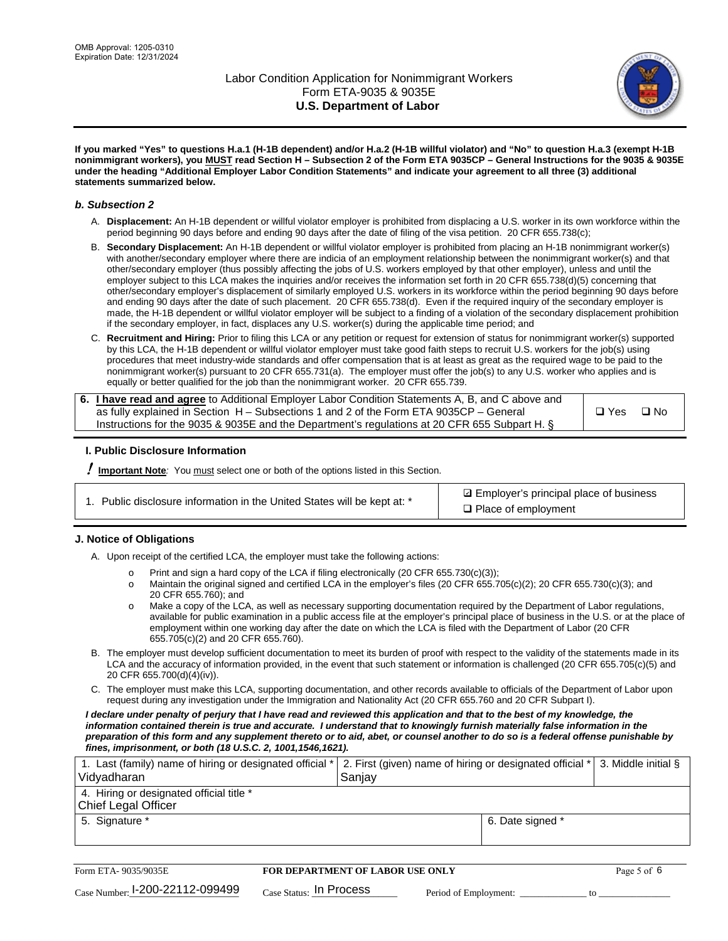

**If you marked "Yes" to questions H.a.1 (H-1B dependent) and/or H.a.2 (H-1B willful violator) and "No" to question H.a.3 (exempt H-1B nonimmigrant workers), you MUST read Section H – Subsection 2 of the Form ETA 9035CP – General Instructions for the 9035 & 9035E under the heading "Additional Employer Labor Condition Statements" and indicate your agreement to all three (3) additional statements summarized below.**

#### *b. Subsection 2*

- A. **Displacement:** An H-1B dependent or willful violator employer is prohibited from displacing a U.S. worker in its own workforce within the period beginning 90 days before and ending 90 days after the date of filing of the visa petition. 20 CFR 655.738(c);
- B. **Secondary Displacement:** An H-1B dependent or willful violator employer is prohibited from placing an H-1B nonimmigrant worker(s) with another/secondary employer where there are indicia of an employment relationship between the nonimmigrant worker(s) and that other/secondary employer (thus possibly affecting the jobs of U.S. workers employed by that other employer), unless and until the employer subject to this LCA makes the inquiries and/or receives the information set forth in 20 CFR 655.738(d)(5) concerning that other/secondary employer's displacement of similarly employed U.S. workers in its workforce within the period beginning 90 days before and ending 90 days after the date of such placement. 20 CFR 655.738(d). Even if the required inquiry of the secondary employer is made, the H-1B dependent or willful violator employer will be subject to a finding of a violation of the secondary displacement prohibition if the secondary employer, in fact, displaces any U.S. worker(s) during the applicable time period; and
- C. **Recruitment and Hiring:** Prior to filing this LCA or any petition or request for extension of status for nonimmigrant worker(s) supported by this LCA, the H-1B dependent or willful violator employer must take good faith steps to recruit U.S. workers for the job(s) using procedures that meet industry-wide standards and offer compensation that is at least as great as the required wage to be paid to the nonimmigrant worker(s) pursuant to 20 CFR 655.731(a). The employer must offer the job(s) to any U.S. worker who applies and is equally or better qualified for the job than the nonimmigrant worker. 20 CFR 655.739.

| 6. I have read and agree to Additional Employer Labor Condition Statements A, B, and C above and |       |           |
|--------------------------------------------------------------------------------------------------|-------|-----------|
| as fully explained in Section H – Subsections 1 and 2 of the Form ETA 9035CP – General           | □ Yes | $\Box$ No |
| Instructions for the 9035 & 9035E and the Department's regulations at 20 CFR 655 Subpart H. §    |       |           |

### **I. Public Disclosure Information**

! **Important Note***:* You must select one or both of the options listed in this Section.

| 1. Public disclosure information in the United States will be kept at: * |  |  |  |  |  |  |  |  |  |
|--------------------------------------------------------------------------|--|--|--|--|--|--|--|--|--|
|--------------------------------------------------------------------------|--|--|--|--|--|--|--|--|--|

**sqrt** Employer's principal place of business □ Place of employment

### **J. Notice of Obligations**

A. Upon receipt of the certified LCA, the employer must take the following actions:

- o Print and sign a hard copy of the LCA if filing electronically (20 CFR 655.730(c)(3));<br>
Maintain the original signed and certified LCA in the employer's files (20 CFR 655.7
- Maintain the original signed and certified LCA in the employer's files (20 CFR 655.705(c)(2); 20 CFR 655.730(c)(3); and 20 CFR 655.760); and
- o Make a copy of the LCA, as well as necessary supporting documentation required by the Department of Labor regulations, available for public examination in a public access file at the employer's principal place of business in the U.S. or at the place of employment within one working day after the date on which the LCA is filed with the Department of Labor (20 CFR 655.705(c)(2) and 20 CFR 655.760).
- B. The employer must develop sufficient documentation to meet its burden of proof with respect to the validity of the statements made in its LCA and the accuracy of information provided, in the event that such statement or information is challenged (20 CFR 655.705(c)(5) and 20 CFR 655.700(d)(4)(iv)).
- C. The employer must make this LCA, supporting documentation, and other records available to officials of the Department of Labor upon request during any investigation under the Immigration and Nationality Act (20 CFR 655.760 and 20 CFR Subpart I).

*I declare under penalty of perjury that I have read and reviewed this application and that to the best of my knowledge, the*  information contained therein is true and accurate. I understand that to knowingly furnish materially false information in the *preparation of this form and any supplement thereto or to aid, abet, or counsel another to do so is a federal offense punishable by fines, imprisonment, or both (18 U.S.C. 2, 1001,1546,1621).*

| 1. Last (family) name of hiring or designated official * 2. First (given) name of hiring or designated official *<br>Vidyadharan | Saniav           | 3. Middle initial § |
|----------------------------------------------------------------------------------------------------------------------------------|------------------|---------------------|
| 4. Hiring or designated official title *<br>Chief Legal Officer                                                                  |                  |                     |
| 5. Signature *                                                                                                                   | 6. Date signed * |                     |